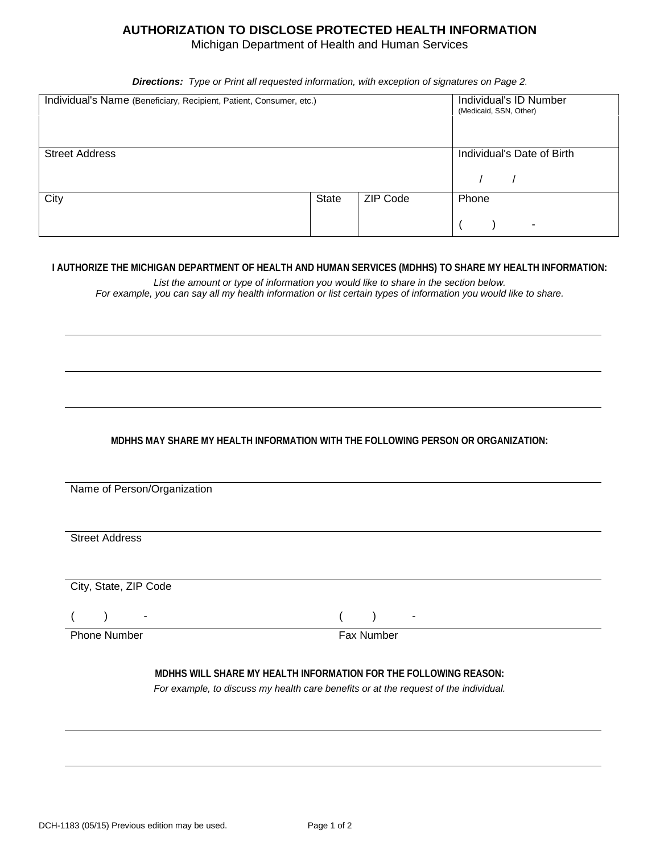## **AUTHORIZATION TO DISCLOSE PROTECTED HEALTH INFORMATION**

Michigan Department of Health and Human Services

*Directions: Type or Print all requested information, with exception of signatures on Page 2*.

| Individual's Name (Beneficiary, Recipient, Patient, Consumer, etc.) |       |                 | Individual's ID Number<br>(Medicaid, SSN, Other) |
|---------------------------------------------------------------------|-------|-----------------|--------------------------------------------------|
| <b>Street Address</b>                                               |       |                 | Individual's Date of Birth                       |
| City                                                                | State | <b>ZIP Code</b> | Phone<br>$\overline{\phantom{a}}$                |

## **I AUTHORIZE THE MICHIGAN DEPARTMENT OF HEALTH AND HUMAN SERVICES (MDHHS) TO SHARE MY HEALTH INFORMATION:**

*List the amount or type of information you would like to share in the section below. For example, you can say all my health information or list certain types of information you would like to share.*

## **MDHHS MAY SHARE MY HEALTH INFORMATION WITH THE FOLLOWING PERSON OR ORGANIZATION:**

Name of Person/Organization

Street Address

City, State, ZIP Code

 $($  ) - ( ) -

Phone Number Fax Number

**MDHHS WILL SHARE MY HEALTH INFORMATION FOR THE FOLLOWING REASON:**

*For example, to discuss my health care benefits or at the request of the individual.*